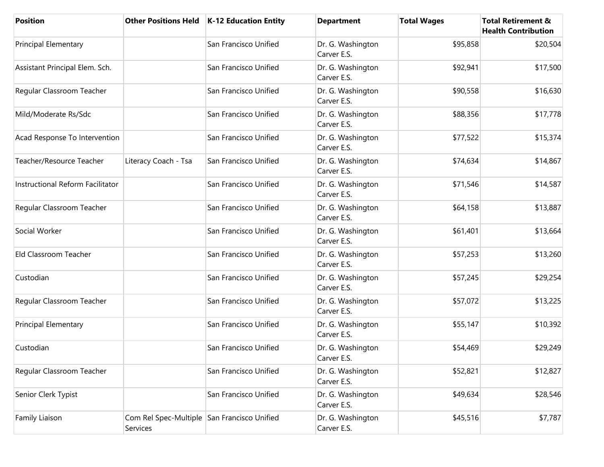| <b>Position</b>                  |                                                         | Other Positions Held   K-12 Education Entity | <b>Department</b>                | <b>Total Wages</b> | <b>Total Retirement &amp;</b><br><b>Health Contribution</b> |
|----------------------------------|---------------------------------------------------------|----------------------------------------------|----------------------------------|--------------------|-------------------------------------------------------------|
| <b>Principal Elementary</b>      |                                                         | San Francisco Unified                        | Dr. G. Washington<br>Carver E.S. | \$95,858           | \$20,504                                                    |
| Assistant Principal Elem. Sch.   |                                                         | San Francisco Unified                        | Dr. G. Washington<br>Carver E.S. | \$92,941           | \$17,500                                                    |
| Regular Classroom Teacher        |                                                         | San Francisco Unified                        | Dr. G. Washington<br>Carver E.S. | \$90,558           | \$16,630                                                    |
| Mild/Moderate Rs/Sdc             |                                                         | San Francisco Unified                        | Dr. G. Washington<br>Carver E.S. | \$88,356           | \$17,778                                                    |
| Acad Response To Intervention    |                                                         | San Francisco Unified                        | Dr. G. Washington<br>Carver E.S. | \$77,522           | \$15,374                                                    |
| Teacher/Resource Teacher         | Literacy Coach - Tsa                                    | San Francisco Unified                        | Dr. G. Washington<br>Carver E.S. | \$74,634           | \$14,867                                                    |
| Instructional Reform Facilitator |                                                         | San Francisco Unified                        | Dr. G. Washington<br>Carver E.S. | \$71,546           | \$14,587                                                    |
| Regular Classroom Teacher        |                                                         | San Francisco Unified                        | Dr. G. Washington<br>Carver E.S. | \$64,158           | \$13,887                                                    |
| Social Worker                    |                                                         | San Francisco Unified                        | Dr. G. Washington<br>Carver E.S. | \$61,401           | \$13,664                                                    |
| Eld Classroom Teacher            |                                                         | San Francisco Unified                        | Dr. G. Washington<br>Carver E.S. | \$57,253           | \$13,260                                                    |
| Custodian                        |                                                         | San Francisco Unified                        | Dr. G. Washington<br>Carver E.S. | \$57,245           | \$29,254                                                    |
| Regular Classroom Teacher        |                                                         | San Francisco Unified                        | Dr. G. Washington<br>Carver E.S. | \$57,072           | \$13,225                                                    |
| <b>Principal Elementary</b>      |                                                         | San Francisco Unified                        | Dr. G. Washington<br>Carver E.S. | \$55,147           | \$10,392                                                    |
| Custodian                        |                                                         | San Francisco Unified                        | Dr. G. Washington<br>Carver E.S. | \$54,469           | \$29,249                                                    |
| Regular Classroom Teacher        |                                                         | San Francisco Unified                        | Dr. G. Washington<br>Carver E.S. | \$52,821           | \$12,827                                                    |
| Senior Clerk Typist              |                                                         | San Francisco Unified                        | Dr. G. Washington<br>Carver E.S. | \$49,634           | \$28,546                                                    |
| Family Liaison                   | Com Rel Spec-Multiple San Francisco Unified<br>Services |                                              | Dr. G. Washington<br>Carver E.S. | \$45,516           | \$7,787                                                     |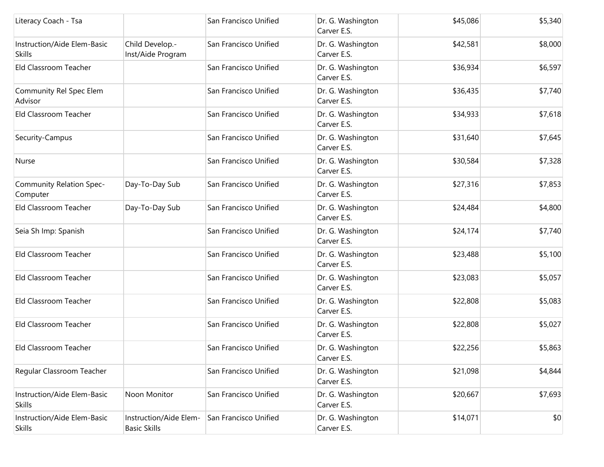| Literacy Coach - Tsa                         |                                               | San Francisco Unified | Dr. G. Washington<br>Carver E.S. | \$45,086 | \$5,340 |
|----------------------------------------------|-----------------------------------------------|-----------------------|----------------------------------|----------|---------|
| Instruction/Aide Elem-Basic<br><b>Skills</b> | Child Develop.-<br>Inst/Aide Program          | San Francisco Unified | Dr. G. Washington<br>Carver E.S. | \$42,581 | \$8,000 |
| Eld Classroom Teacher                        |                                               | San Francisco Unified | Dr. G. Washington<br>Carver E.S. | \$36,934 | \$6,597 |
| Community Rel Spec Elem<br>Advisor           |                                               | San Francisco Unified | Dr. G. Washington<br>Carver E.S. | \$36,435 | \$7,740 |
| Eld Classroom Teacher                        |                                               | San Francisco Unified | Dr. G. Washington<br>Carver E.S. | \$34,933 | \$7,618 |
| Security-Campus                              |                                               | San Francisco Unified | Dr. G. Washington<br>Carver E.S. | \$31,640 | \$7,645 |
| Nurse                                        |                                               | San Francisco Unified | Dr. G. Washington<br>Carver E.S. | \$30,584 | \$7,328 |
| Community Relation Spec-<br>Computer         | Day-To-Day Sub                                | San Francisco Unified | Dr. G. Washington<br>Carver E.S. | \$27,316 | \$7,853 |
| Eld Classroom Teacher                        | Day-To-Day Sub                                | San Francisco Unified | Dr. G. Washington<br>Carver E.S. | \$24,484 | \$4,800 |
| Seia Sh Imp: Spanish                         |                                               | San Francisco Unified | Dr. G. Washington<br>Carver E.S. | \$24,174 | \$7,740 |
| Eld Classroom Teacher                        |                                               | San Francisco Unified | Dr. G. Washington<br>Carver E.S. | \$23,488 | \$5,100 |
| Eld Classroom Teacher                        |                                               | San Francisco Unified | Dr. G. Washington<br>Carver E.S. | \$23,083 | \$5,057 |
| Eld Classroom Teacher                        |                                               | San Francisco Unified | Dr. G. Washington<br>Carver E.S. | \$22,808 | \$5,083 |
| Eld Classroom Teacher                        |                                               | San Francisco Unified | Dr. G. Washington<br>Carver E.S. | \$22,808 | \$5,027 |
| Eld Classroom Teacher                        |                                               | San Francisco Unified | Dr. G. Washington<br>Carver E.S. | \$22,256 | \$5,863 |
| Regular Classroom Teacher                    |                                               | San Francisco Unified | Dr. G. Washington<br>Carver E.S. | \$21,098 | \$4,844 |
| Instruction/Aide Elem-Basic<br><b>Skills</b> | Noon Monitor                                  | San Francisco Unified | Dr. G. Washington<br>Carver E.S. | \$20,667 | \$7,693 |
| Instruction/Aide Elem-Basic<br><b>Skills</b> | Instruction/Aide Elem-<br><b>Basic Skills</b> | San Francisco Unified | Dr. G. Washington<br>Carver E.S. | \$14,071 | \$0     |